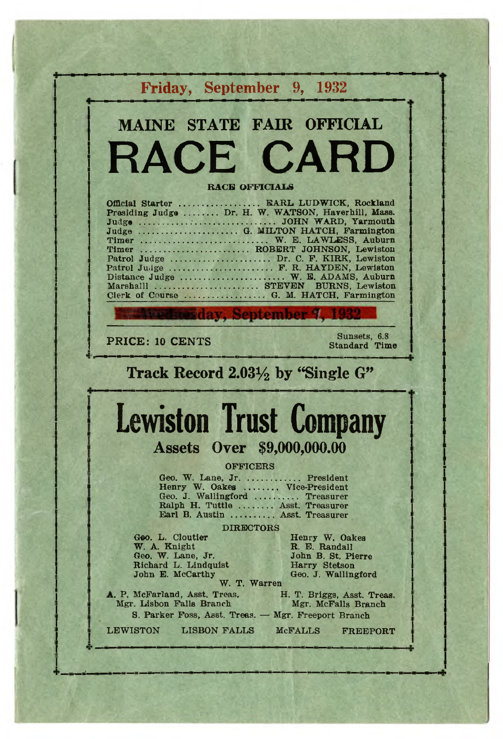|                                                                                                                                                                                                                                                                                                                                                                              | Friday, September 9, 1932                                                                     |
|------------------------------------------------------------------------------------------------------------------------------------------------------------------------------------------------------------------------------------------------------------------------------------------------------------------------------------------------------------------------------|-----------------------------------------------------------------------------------------------|
| MAINE STATE FAIR OFFICIAL                                                                                                                                                                                                                                                                                                                                                    |                                                                                               |
| RACE CARD                                                                                                                                                                                                                                                                                                                                                                    |                                                                                               |
| <b>RACE OFFICIALS</b>                                                                                                                                                                                                                                                                                                                                                        |                                                                                               |
| Official Starter  EARL LUDWICK, Rockland<br>Presiding Judge  Dr. H. W. WATSON, Haverhill, Mass.<br>Timer  W. E. LAWLESS, Auburn<br>Timer  ROBERT JOHNSON, Lewiston<br>Patrol Judge  Dr. C. F. KIRK, Lewiston<br>Patrol Judge  F. R. HAYDEN, Lewiston<br>Distance Judge  W. E. ADAMS, Auburn<br>Marshalll  STEVEN BURNS, Lewiston<br>Clerk of Course  G. M. HATCH, Farmington |                                                                                               |
| <b>Etesday, September 7, 1932</b>                                                                                                                                                                                                                                                                                                                                            |                                                                                               |
| PRICE: 10 CENTS                                                                                                                                                                                                                                                                                                                                                              | Sunsets, 6.8<br><b>Standard Time</b>                                                          |
| Track Record $2.03\frac{1}{2}$ by "Single G"                                                                                                                                                                                                                                                                                                                                 |                                                                                               |
|                                                                                                                                                                                                                                                                                                                                                                              |                                                                                               |
| <b>Lewiston Trust Company</b>                                                                                                                                                                                                                                                                                                                                                |                                                                                               |
| <b>Assets Over \$9,000,000.00</b>                                                                                                                                                                                                                                                                                                                                            |                                                                                               |
| <b>OFFICERS</b><br>Geo. W. Lane, Jr.  President<br>Henry W. Oakes  Vice-President<br>Geo. J. Wallingford  Treasurer<br>Ralph H. Tuttle  Asst. Treasurer<br>Earl B. Austin  Asst. Treasurer                                                                                                                                                                                   |                                                                                               |
| <b>DIRECTORS</b><br>Geo. L. Cloutier<br>W. A. Knight<br>Geo. W. Lane, Jr.<br>Richard L. Lindquist<br>John E. McCarthy<br>W. T. Warren                                                                                                                                                                                                                                        | Henry W. Oakes<br>R. E. Randall<br>John B. St. Pierre<br>Harry Stetson<br>Geo. J. Wallingford |
| A. P. McFarland, Asst. Treas.<br>Mgr. Lisbon Falls Branch<br>S. Parker Foss, Asst. Treas. - Mgr. Freeport Branch                                                                                                                                                                                                                                                             | H. T. Briggs, Asst. Treas.<br>Mgr. McFalls Branch                                             |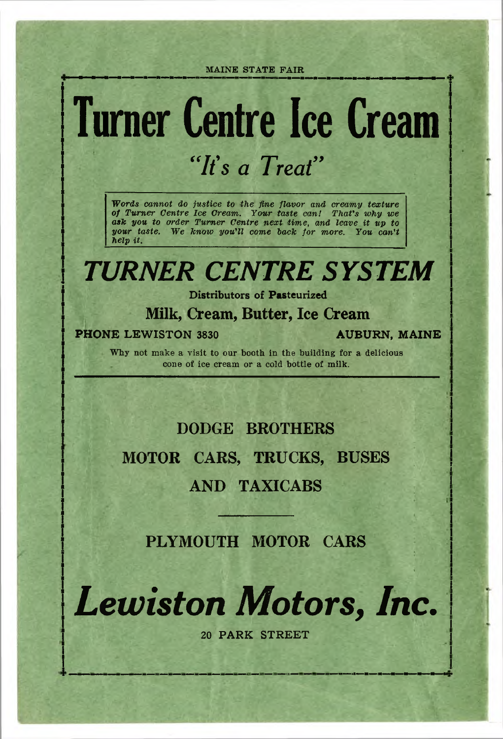## **Turner Centre Ice Cream** *"It's a Treat"*

*Words cannot do justice to the fine flavor and creamy texture of Turner Centre Ice Cream. Your taste can! That's why we ask you to order Turner Centre next tim e*, *and leave it up to your taste. W e know you'll come back for more. You can't help it.*

## *TURNER CENTRE SYSTEM*

**Distributors of Pasteurized**

#### **Milk, Cream, Butter, Ice Cream**

#### **PHONE LEWISTON 3830 AUBURN, MAINE**

Why not make a visit to our booth in the building for a delicious cone of ice cream or a cold bottle of milk.

### **DODGE BROTHERS MOTOR CARS, TRUCKS, BUSES AND TAXICABS**

**PLYMOUTH MOTOR CARS**

*Lewiston Motors, Inc.*

**20 PARK STREET**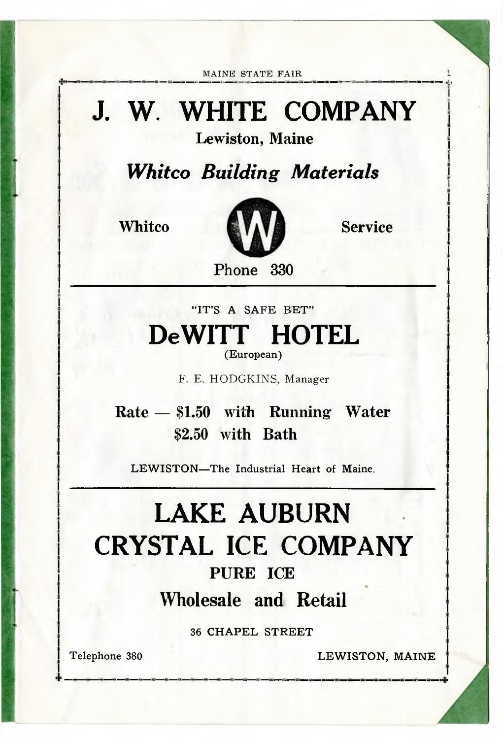## **J. W. WHITE COMPANY**

**Lewiston, Maine**

*Whitco Building Materials*



**Phone 330**

**"IT'S A SAFE BET" DeWITT HOTEL (European)**

**F. E. HODGKINS, Manager**

**Rate — \$1.50** with Running **Water \$2.50** with Bath

**LEWISTON—The Industrial Heart of Maine.**

### **LAKE AUBURN CRYSTAL ICE COMPANY PURE ICE Wholesale and Retail**

**36 CHAPEL STREET**

**Telephone 380 LEWISTON, MAINE**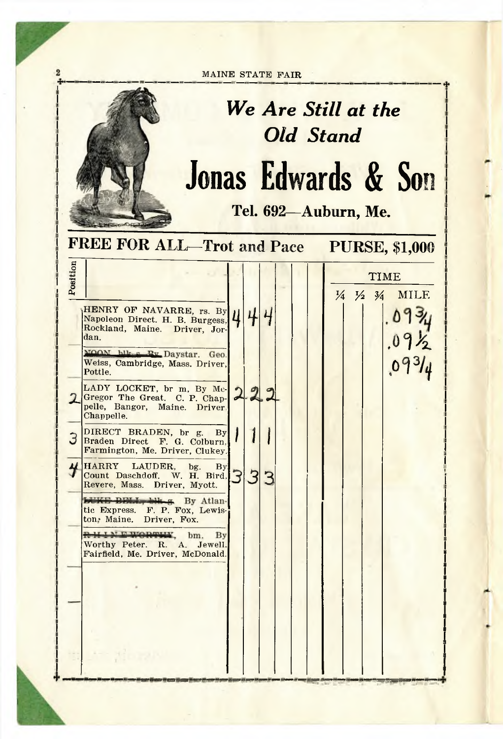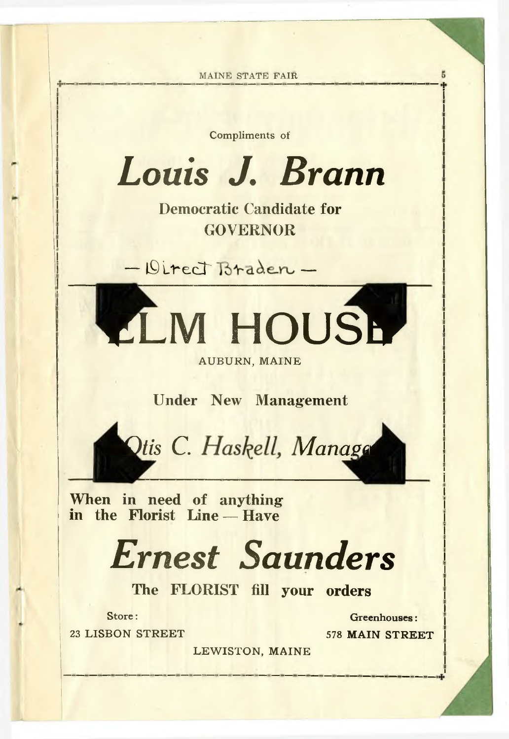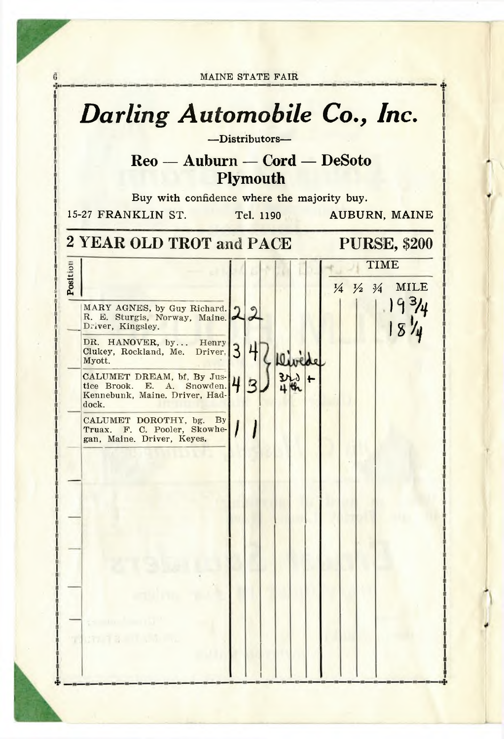MAINE STATE FAIR *Darling Automobile Co., Inc.* **— Distributors— Reo — Auburn — Cord — DeSoto Plymouth Buy with confidence where the majority buy. 15-27 FRANKLIN ST. Tel. 1190 AUBURN, MAINE 2** YEAR OLD TROT and PACE PURSE, \$200 Position **TIME 1/4 1/2 3/4 MILE** MARY AGNES, by Guy Richard.  $\mathbf{G}$  $\cdot$  ,  $\cdot$  7 R. E. Sturgis, Norway, Maine.  $\sim$ Driver, Kingsley. .1 8 1 /4 DR. HANOVER, by... Henry 7 Clukey, Rockland, Me. Driver, 3 +<br>Myott. CALUMET DREAM, bf, By Jus- $2r_0$  + 42 tice Brook. E. A. Snowden. Kennebunk, Maine. Driver, Haddock. CALUMET DOROTHY, bg. By Truax. F. C. Pooler, Skowhegan, Maine. Driver, Keyes.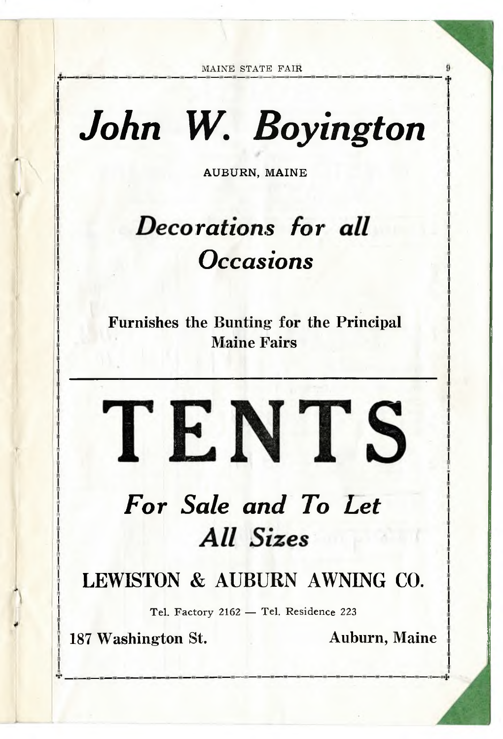## *John W. Boyington*

**AUBURN, MAINE**

## *Decorations Occasions*

**Furnishes the Bunting for the Principal Maine Fairs**

### For Sale and To Let **All Sizes** *All Sizes*

TENTS

**LEWISTON & AUBURN AWNING CO.**

**Tel. Factory 2162 — Tel. Residence 223**

**187 Washington St. Auburn, Maine**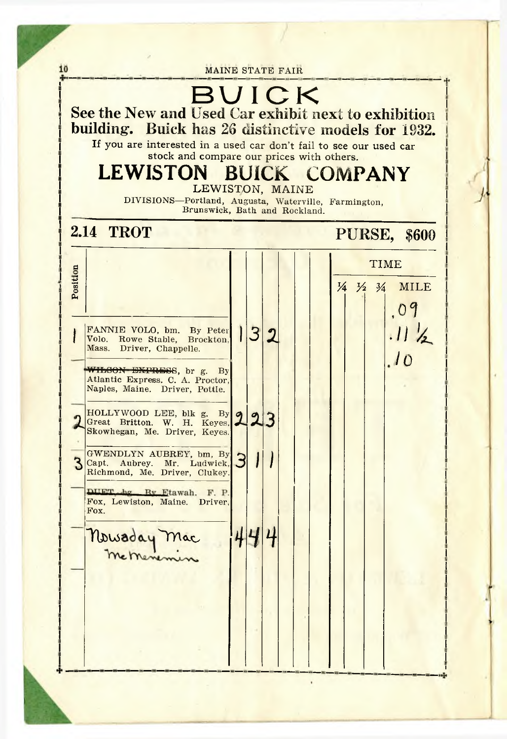10 MAINE STATE FAIR BUIC K **See the** New **and** Used Car exhibit next to exhibition **building.** Buick has 26 distinctive models for 1932. **If you are interested in a used car don't fail to see our used car stock and compare our prices with others. LEWISTON BUICK COMPANY LEWISTON, MAINE** DIVISIONS— Portland, Augusta, Waterville, Farmington, Brunswick, Bath and Rockland. **2.14 TROT PURSE, \$600** Position **TIME 1/4 1/2 3/4 MILE** . 0 9  $.11 \frac{1}{2}$  $132$ FANNIE VOLO, bm. By Peter 1 Volo. Rowe Stable, Brockton, Mass. Driver, Chappelle.  $\frac{1}{2}$ WHEGON-EXPRESS, br g. By Atlantic Express. C. A. Proctor, Naples, Maine. Driver, Pottle. HOLLYWOOD LEE, blk g. By Great Britton. W. H. Keyes,  $24.$ Skowhegan, Me. Driver, Keyes. GWENDLYN AUBREY, bm, By 3 Capt. Aubrey. Mr. Ludwick,  $J \mid I \mid$ Richmond, Me. Driver, Clukey. DHET hg Ry Etawah. F. P. Fox, Lewiston, Maine. Driver, Fox. Nowaday Mac 444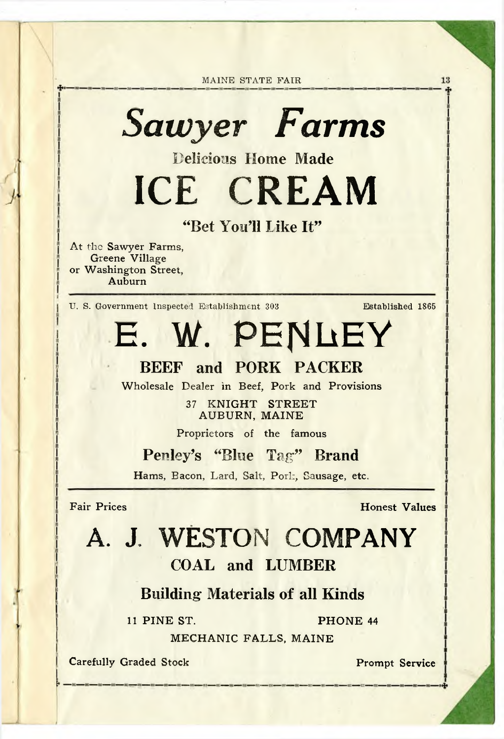## *Sawyer Farms*

Delicious Home Made

**ICE CREAM**

"Bet You'll Like It"

**At the Sawyer Farms, Greene Village or Washington Street, Auburn**

U. S. Government Inspected Establishment 303 Established 1865

13

**E. W. PENLEY**

### BEEF and PORK PACKER

**Wholesale Dealer in Beef, Pork and Provisions**

**37 KNIGHT STREET AUBURN, MAINE**

**Proprietors of the famous**

Penley's "Blue Tag" Brand

Hams, Bacon, Lard, Salt, Porl., Sausage, etc.

**Fair Prices** Honest Values

## A. J. WESTON COMPANY

### COAL and LUMBER

#### Building Materials of all Kinds

**11 PINE ST. PHONE 44**

**MECHANIC FALLS, MAINE**

**Carefully Graded Stock Prompt Service**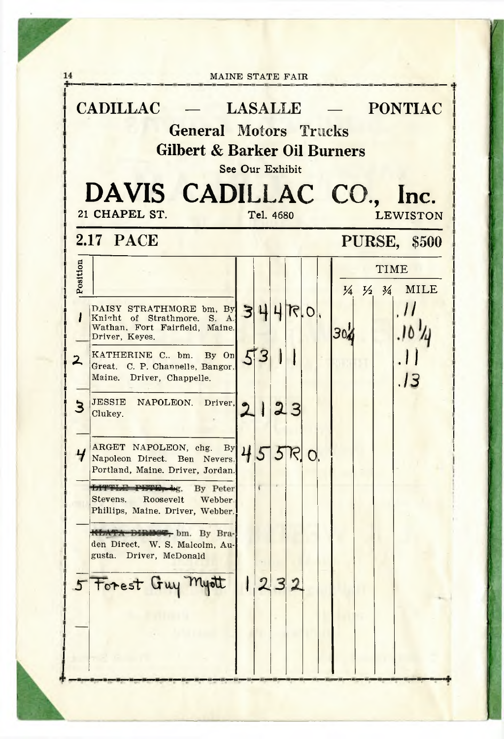| <b>Gilbert &amp; Barker Oil Burners</b><br>See Our Exhibit<br>DAVIS CADILLAC CO., Inc. |                                                                                                                                                                        |  |                |              |    |  |     |  |                                                          |                     |
|----------------------------------------------------------------------------------------|------------------------------------------------------------------------------------------------------------------------------------------------------------------------|--|----------------|--------------|----|--|-----|--|----------------------------------------------------------|---------------------|
|                                                                                        | 21 CHAPEL ST.                                                                                                                                                          |  | Tel. 4680      |              |    |  |     |  |                                                          | <b>LEWISTON</b>     |
|                                                                                        | <b>2.17 PACE</b>                                                                                                                                                       |  |                |              |    |  |     |  |                                                          | <b>PURSE, \$500</b> |
| Position                                                                               | DAISY STRATHMORE bm, By $3 4 7 0$ ,<br>Knight of Strathmore, S. A.<br>Wathan, Fort Fairfield, Maine.<br>Driver, Keyes.                                                 |  |                |              |    |  | 304 |  | <b>TIME</b><br>$\frac{1}{4}$ $\frac{1}{2}$ $\frac{3}{4}$ | <b>MILE</b><br>, I  |
| $\mathbf{z}$                                                                           | KATHERINE C., bm. By On 53<br>Great. C. P. Channelle, Bangor.<br>Maine. Driver, Chappelle.<br>JESSIE NAPOLEON. Driver.<br>Clukey.                                      |  | $\mathbf{I}$   |              | 23 |  |     |  |                                                          | .13                 |
| $\overline{4}$                                                                         | ARGET NAPOLEON, chg. By 455R.<br>Portland, Maine. Driver, Jordan.<br><b>LITTLE PETE, bg.</b> By Peter<br>Stevens. Roosevelt Webber<br>Phillips, Maine. Driver, Webber. |  |                |              |    |  |     |  |                                                          |                     |
|                                                                                        | <b>REATA DIRECT</b> , bm. By Bra-<br>den Direct. W. S. Malcolm, Au-<br>gusta.<br>Driver, McDonald<br>5 Forest Guy Myott                                                |  | $\overline{2}$ | $\mathbf{B}$ |    |  |     |  |                                                          |                     |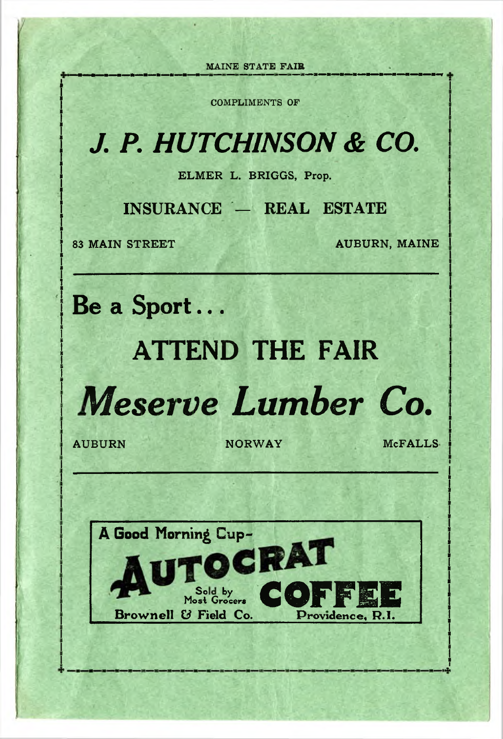COMPLIMENTS OF

## *J. P. HUTCHINSON & CO.*

**ELMER L. BRIGGS, Prop.**

**INSURANCE — REAL ESTATE**

**83 MAIN STREET AUBURN, MAINE** 

**Be a Sport...**

## **ATTEND THE FAIR**



AUBURN NORWAY MCFALLS